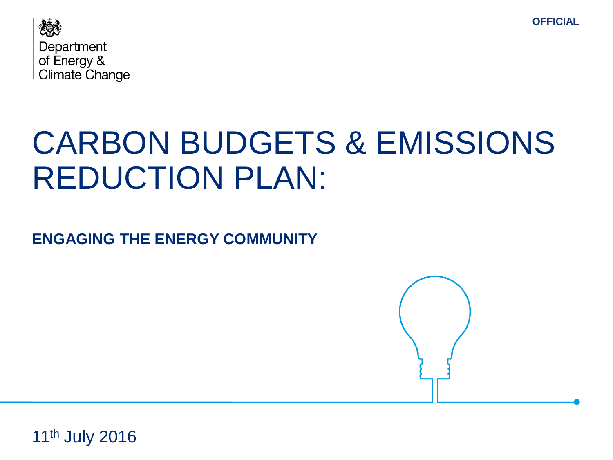



## CARBON BUDGETS & EMISSIONS REDUCTION PLAN:

**ENGAGING THE ENERGY COMMUNITY**



11<sup>th</sup> July 2016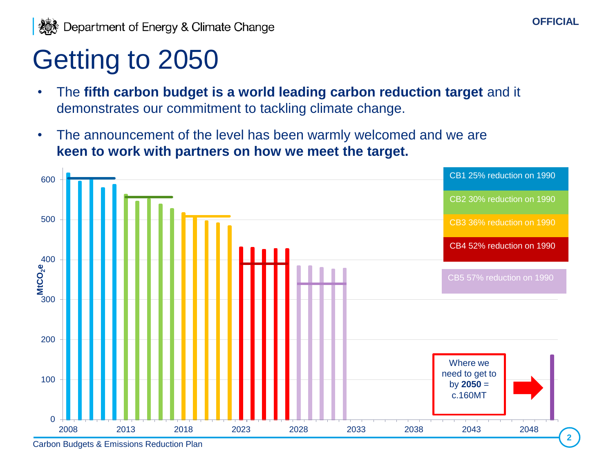## Getting to 2050

- The **fifth carbon budget is a world leading carbon reduction target** and it demonstrates our commitment to tackling climate change.
- The announcement of the level has been warmly welcomed and we are **keen to work with partners on how we meet the target.**



**OFFICIAL**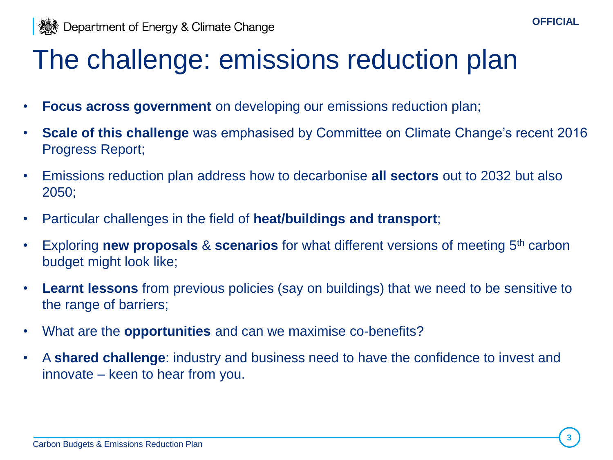

## The challenge: emissions reduction plan

- **Focus across government** on developing our emissions reduction plan;
- **Scale of this challenge** was emphasised by Committee on Climate Change's recent 2016 Progress Report;
- Emissions reduction plan address how to decarbonise **all sectors** out to 2032 but also 2050;
- Particular challenges in the field of **heat/buildings and transport**;
- Exploring **new proposals** & **scenarios** for what different versions of meeting 5th carbon budget might look like;
- **Learnt lessons** from previous policies (say on buildings) that we need to be sensitive to the range of barriers;
- What are the **opportunities** and can we maximise co-benefits?
- A **shared challenge**: industry and business need to have the confidence to invest and innovate – keen to hear from you.